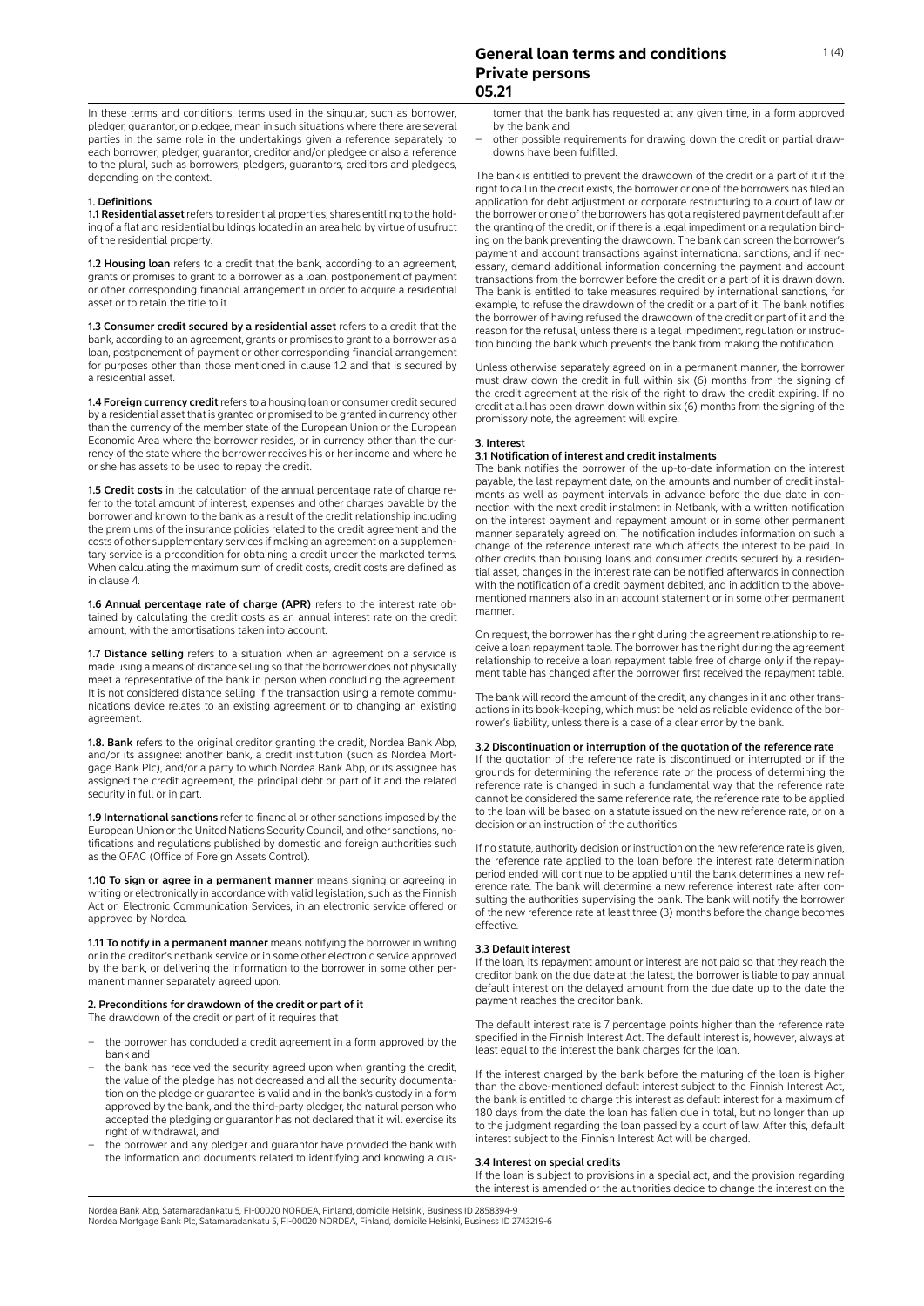In these terms and conditions, terms used in the singular, such as borrower, pledger, guarantor, or pledgee, mean in such situations where there are several parties in the same role in the undertakings given a reference separately to each borrower, pledger, guarantor, creditor and/or pledgee or also a reference to the plural, such as borrowers, pledgers, guarantors, creditors and pledgees, depending on the context.

# 1. Definitions

1.1 Residential asset refers to residential properties, shares entitling to the holding of a flat and residential buildings located in an area held by virtue of usufruct of the residential property.

1.2 Housing loan refers to a credit that the bank, according to an agreement, grants or promises to grant to a borrower as a loan, postponement of payment or other corresponding financial arrangement in order to acquire a residential asset or to retain the title to it.

1.3 Consumer credit secured by a residential asset refers to a credit that the bank, according to an agreement, grants or promises to grant to a borrower as a loan, postponement of payment or other corresponding financial arrangement for purposes other than those mentioned in clause 1.2 and that is secured by a residential asset.

1.4 Foreign currency credit refers to a housing loan or consumer credit secured by a residential asset that is granted or promised to be granted in currency other than the currency of the member state of the European Union or the European Economic Area where the borrower resides, or in currency other than cur rency of the state where the borrower receives his or her income and where he or she has assets to be used to repay the credit.

1.5 Credit costs in the calculation of the annual percentage rate of charge refer to the total amount of interest, expenses and other charges payable by the borrower and known to the bank as a result of the credit relationship including the premiums of the insurance policies related to the credit agreement and the costs of other supplementary services if making an agreement on a supplemen tary service is a precondition for obtaining a credit under the marketed terms. When calculating the maximum sum of credit costs, credit costs are defined as in clause 4.

1.6 Annual percentage rate of charge (APR) refers to the interest rate obtained by calculating the credit costs as an annual interest rate on the credit amount, with the amortisations taken into account.

1.7 Distance selling refers to a situation when an agreement on a service is made using a means of distance selling so that the borrower does not physically meet a representative of the bank in person when concluding the agreement. It is not considered distance selling if the transaction using a remote communications device relates to an existing agreement or to changing an existing agreement.

1.8. Bank refers to the original creditor granting the credit, Nordea Bank Abp, and/or its assignee: another bank, a credit institution (such as Nordea Mort gage Bank Plc), and/or a party to which Nordea Bank Abp, or its assignee has assigned the credit agreement, the principal debt or part of it and the related security in full or in part.

1.9 International sanctions refer to financial or other sanctions imposed by the European Union or the United Nations Security Council, and other sanctions, no tifications and regulations published by domestic and foreign authorities such as the OFAC (Office of Foreign Assets Control).

1.10 To sign or agree in a permanent manner means signing or agreeing in writing or electronically in accordance with valid legislation, such as the Finnish Act on Electronic Communication Services, in an electronic service offered or approved by Nordea.

1.11 To notify in a permanent manner means notifying the borrower in writing or in the creditor's netbank service or in some other electronic service approved by the bank, or delivering the information to the borrower in some other permanent manner separately agreed upon.

### 2. Preconditions for drawdown of the credit or part of it The drawdown of the credit or part of it requires that

- the borrower has concluded a credit agreement in a form approved by the bank and
- the bank has received the security agreed upon when granting the credit the value of the pledge has not decreased and all the security documentation on the pledge or guarantee is valid and in the bank's custody in a form approved by the bank, and the third-party pledger, the natural person who accepted the pledging or guarantor has not declared that it will exercise its right of withdrawal, and
- the borrower and any pledger and guarantor have provided the bank with the information and documents related to identifying and knowing a cus-

tomer that the bank has requested at any given time, in a form approved by the bank and

other possible requirements for drawing down the credit or partial drawdowns have been fulfilled.

The bank is entitled to prevent the drawdown of the credit or a part of it if the right to call in the credit exists, the borrower or one of the borrowers has filed an application for debt adjustment or corporate restructuring to a court of law or the borrower or one of the borrowers has got a registered payment default after the granting of the credit, or if there is a legal impediment or a regulation binding on the bank preventing the drawdown. The bank can screen the borrower's payment and account transactions against international sanctions, and if necessary, demand additional information concerning the payment and account transactions from the borrower before the credit or a part of it is drawn down. The bank is entitled to take measures required by international sanctions, for example, to refuse the drawdown of the credit or a part of it. The bank notifies the borrower of having refused the drawdown of the credit or part of it and the reason for the refusal, unless there is a legal impediment, regulation or instruc tion binding the bank which prevents the bank from making the notification.

Unless otherwise separately agreed on in a permanent manner, the borrower must draw down the credit in full within six (6) months from the signing of the credit agreement at the risk of the right to draw the credit expiring. If no credit at all has been drawn down within six (6) months from the signing of the promissory note, the agreement will expire.

# 3. Interest

# 3.1 Notification of interest and credit instalments

The bank notifies the borrower of the up-to-date information on the interest payable, the last repayment date, on the amounts and number of credit instalments as well as payment intervals in advance before the due date in connection with the next credit instalment in Netbank, with a written notification on the interest payment and repayment amount or in some other permanent manner separately agreed on. The notification includes information on such a change of the reference interest rate which affects the interest to be paid. In other credits than housing loans and consumer credits secured by a residential asset, changes in the interest rate can be notified afterwards in connection with the notification of a credit payment debited, and in addition to the abovementioned manners also in an account statement or in some other permanent manner.

On request, the borrower has the right during the agreement relationship to receive a loan repayment table. The borrower has the right during the agreement relationship to receive a loan repayment table free of charge only if the repay ment table has changed after the borrower first received the repayment table.

The bank will record the amount of the credit, any changes in it and other transactions in its book-keeping, which must be held as reliable evidence of the bor rower's liability, unless there is a case of a clear error by the bank.

### 3.2 Discontinuation or interruption of the quotation of the reference rate

If the quotation of the reference rate is discontinued or interrupted or if the grounds for determining the reference rate or the process of determining the reference rate is changed in such a fundamental way that the reference rate cannot be considered the same reference rate, the reference rate to be applied to the loan will be based on a statute issued on the new reference rate, or on a decision or an instruction of the authorities.

If no statute, authority decision or instruction on the new reference rate is given, the reference rate applied to the loan before the interest rate determination period ended will continue to be applied until the bank determines a new ref erence rate. The bank will determine a new reference interest rate after con sulting the authorities supervising the bank. The bank will notify the borrower of the new reference rate at least three (3) months before the change becomes effective.

# 3.3 Default interest

If the loan, its repayment amount or interest are not paid so that they reach the creditor bank on the due date at the latest, the borrower is liable to pay annual default interest on the delayed amount from the due date up to the date the payment reaches the creditor bank.

The default interest rate is 7 percentage points higher than the reference rate specified in the Finnish Interest Act. The default interest is, however, always at least equal to the interest the bank charges for the loan.

If the interest charged by the bank before the maturing of the loan is higher than the above-mentioned default interest subject to the Finnish Interest Act, the bank is entitled to charge this interest as default interest for a maximum of 180 days from the date the loan has fallen due in total, but no longer than up to the judgment regarding the loan passed by a court of law. After this, default interest subject to the Finnish Interest Act will be charged.

# 3.4 Interest on special credits

If the loan is subject to provisions in a special act, and the provision regarding the interest is amended or the authorities decide to change the interest on the

Nordea Bank Abp, Satamaradankatu 5, FI-00020 NORDEA, Finland, domicile Helsinki, Business ID 2858394-9 Nordea Mortgage Bank Plc, Satamaradankatu 5, FI-00020 NORDEA, Finland, domicile Helsinki, Business ID 2743219-6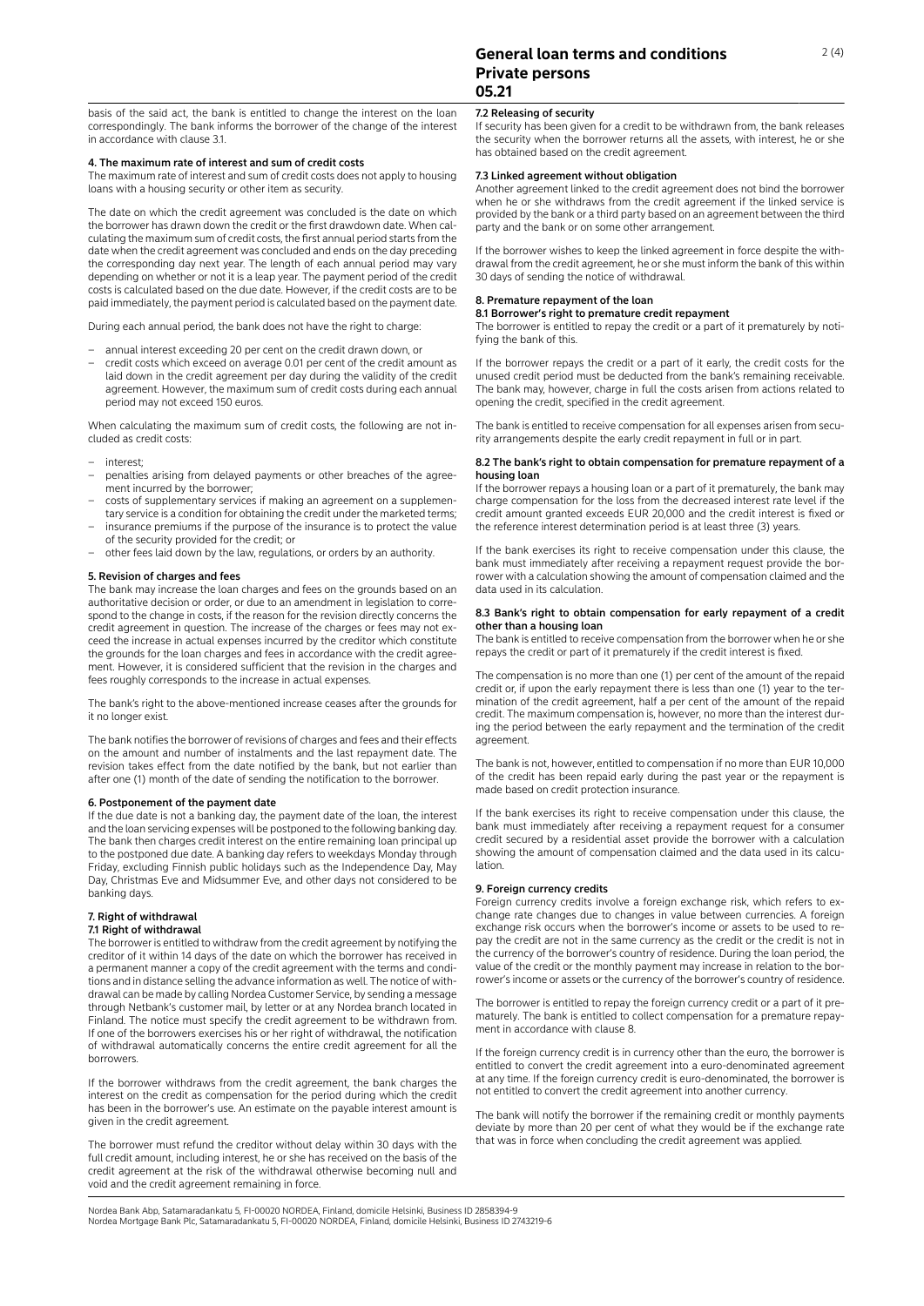basis of the said act, the bank is entitled to change the interest on the loan correspondingly. The bank informs the borrower of the change of the interest in accordance with clause 3.1.

# 4. The maximum rate of interest and sum of credit costs

The maximum rate of interest and sum of credit costs does not apply to housing loans with a housing security or other item as security.

The date on which the credit agreement was concluded is the date on which the borrower has drawn down the credit or the first drawdown date. When calculating the maximum sum of credit costs, the first annual period starts from the date when the credit agreement was concluded and ends on the day preceding the corresponding day next year. The length of each annual period may vary depending on whether or not it is a leap year. The payment period of the credit costs is calculated based on the due date. However, if the credit costs are to be paid immediately, the payment period is calculated based on the payment date.

During each annual period, the bank does not have the right to charge:

- annual interest exceeding 20 per cent on the credit drawn down, or
- credit costs which exceed on average 0.01 per cent of the credit amount as laid down in the credit agreement per day during the validity of the credit agreement. However, the maximum sum of credit costs during each annual period may not exceed 150 euros.

When calculating the maximum sum of credit costs, the following are not included as credit costs:

- interest;
- penalties arising from delayed payments or other breaches of the agree ment incurred by the borrower;
- costs of supplementary services if making an agreement on a supplemen tary service is a condition for obtaining the credit under the marketed terms;
- insurance premiums if the purpose of the insurance is to protect the value of the security provided for the credit; or
- other fees laid down by the law, regulations, or orders by an authority.

#### 5. Revision of charges and fees

The bank may increase the loan charges and fees on the grounds based on an authoritative decision or order, or due to an amendment in legislation to correspond to the change in costs, if the reason for the revision directly concerns the credit agreement in question. The increase of the charges or fees may not ex ceed the increase in actual expenses incurred by the creditor which constitute the grounds for the loan charges and fees in accordance with the credit agreement. However, it is considered sufficient that the revision in the charges and fees roughly corresponds to the increase in actual expenses.

The bank's right to the above-mentioned increase ceases after the grounds for it no longer exist.

The bank notifies the borrower of revisions of charges and fees and their effects on the amount and number of instalments and the last repayment date. The revision takes effect from the date notified by the bank, but not earlier than after one (1) month of the date of sending the notification to the borrower.

# 6. Postponement of the payment date

If the due date is not a banking day, the payment date of the loan, the interest and the loan servicing expenses will be postponed to the following banking day. The bank then charges credit interest on the entire remaining loan principal up to the postponed due date. A banking day refers to weekdays Monday through Friday, excluding Finnish public holidays such as the Independence Day, May Day, Christmas Eve and Midsummer Eve, and other days not considered to be banking days.

# 7. Right of withdrawal

# 7.1 Right of withdrawal

The borrower is entitled to withdraw from the credit agreement by notifying the creditor of it within 14 days of the date on which the borrower has received in a permanent manner a copy of the credit agreement with the terms and conditions and in distance selling the advance information as well. The notice of with drawal can be made by calling Nordea Customer Service, by sending a message through Netbank's customer mail, by letter or at any Nordea branch located in Finland. The notice must specify the credit agreement to be withdrawn from. If one of the borrowers exercises his or her right of withdrawal, the notification of withdrawal automatically concerns the entire credit agreement for all the borrowers.

If the borrower withdraws from the credit agreement, the bank charges the interest on the credit as compensation for the period during which the credit has been in the borrower's use. An estimate on the payable interest amount is given in the credit agreement.

The borrower must refund the creditor without delay within 30 days with the full credit amount, including interest, he or she has received on the basis of the credit agreement at the risk of the withdrawal otherwise becoming null and void and the credit agreement remaining in force.

# **General loan terms and conditions Private persons 05.21**

# 7.2 Releasing of security

If security has been given for a credit to be withdrawn from, the bank releases the security when the borrower returns all the assets, with interest, he or she has obtained based on the credit agreement.

# 7.3 Linked agreement without obligation

Another agreement linked to the credit agreement does not bind the borrower when he or she withdraws from the credit agreement if the linked service is provided by the bank or a third party based on an agreement between the third party and the bank or on some other arrangement.

If the borrower wishes to keep the linked agreement in force despite the withdrawal from the credit agreement, he or she must inform the bank of this within 30 days of sending the notice of withdrawal.

# 8. Premature repayment of the loan

8.1 Borrower's right to premature credit repayment

The borrower is entitled to repay the credit or a part of it prematurely by noti fying the bank of this.

If the borrower repays the credit or a part of it early, the credit costs for the unused credit period must be deducted from the bank's remaining receivable. The bank may, however, charge in full the costs arisen from actions related to opening the credit, specified in the credit agreement.

The bank is entitled to receive compensation for all expenses arisen from secu rity arrangements despite the early credit repayment in full or in part.

#### 8.2 The bank's right to obtain compensation for premature repayment of a housing loan

If the borrower repays a housing loan or a part of it prematurely, the bank may charge compensation for the loss from the decreased interest rate level if the credit amount granted exceeds EUR 20,000 and the credit interest is fixed or the reference interest determination period is at least three (3) years.

If the bank exercises its right to receive compensation under this clause, the bank must immediately after receiving a repayment request provide the bor rower with a calculation showing the amount of compensation claimed and the data used in its calculation.

### 8.3 Bank's right to obtain compensation for early repayment of a credit other than a housing loan

The bank is entitled to receive compensation from the borrower when he or she repays the credit or part of it prematurely if the credit interest is fixed.

The compensation is no more than one (1) per cent of the amount of the repaid credit or, if upon the early repayment there is less than one (1) year to the termination of the credit agreement, half a per cent of the amount of the repaid credit. The maximum compensation is, however, no more than the interest dur ing the period between the early repayment and the termination of the credit agreement.

The bank is not, however, entitled to compensation if no more than EUR 10,000 of the credit has been repaid early during the past year or the repayment is made based on credit protection insurance.

If the bank exercises its right to receive compensation under this clause, the bank must immediately after receiving a repayment request for a consumer credit secured by a residential asset provide the borrower with a calculation showing the amount of compensation claimed and the data used in its calculation.

#### 9. Foreign currency credits

Foreign currency credits involve a foreign exchange risk, which refers to ex change rate changes due to changes in value between currencies. A foreign exchange risk occurs when the borrower's income or assets to be used to repay the credit are not in the same currency as the credit or the credit is not in the currency of the borrower's country of residence. During the loan period, the value of the credit or the monthly payment may increase in relation to the borrower's income or assets or the currency of the borrower's country of residence.

The borrower is entitled to repay the foreign currency credit or a part of it pre maturely. The bank is entitled to collect compensation for a premature repay ment in accordance with clause 8.

If the foreign currency credit is in currency other than the euro, the borrower is entitled to convert the credit agreement into a euro-denominated agreement at any time. If the foreign currency credit is euro-denominated, the borrower is not entitled to convert the credit agreement into another currency.

The bank will notify the borrower if the remaining credit or monthly payments deviate by more than 20 per cent of what they would be if the exchange rate that was in force when concluding the credit agreement was applied.

Nordea Bank Abp, Satamaradankatu 5, FI-00020 NORDEA, Finland, domicile Helsinki, Business ID 2858394-9 Nordea Mortgage Bank Plc, Satamaradankatu 5, FI-00020 NORDEA, Finland, domicile Helsinki, Business ID 2743219-6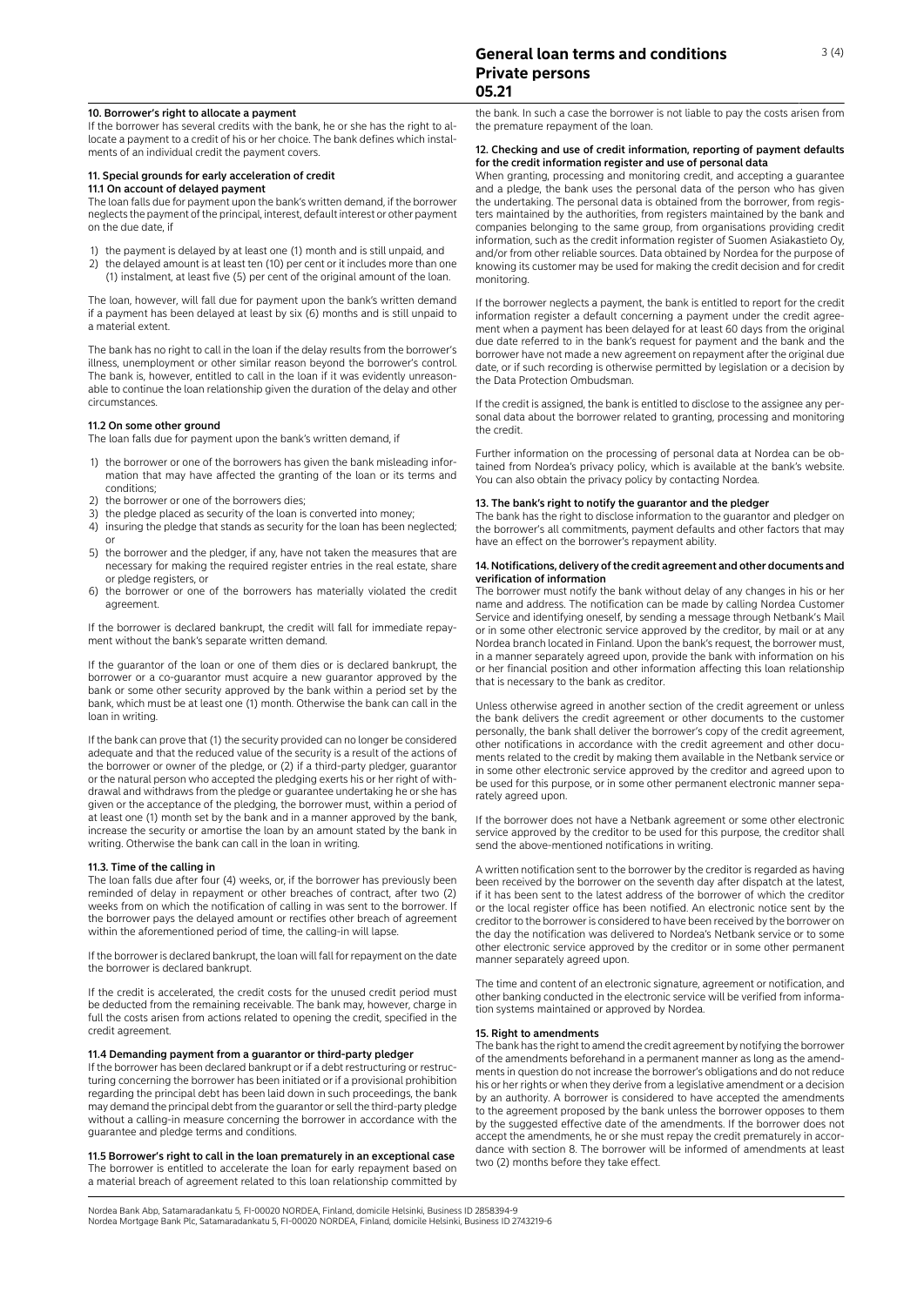# 10. Borrower's right to allocate a payment

If the borrower has several credits with the bank, he or she has the right to allocate a payment to a credit of his or her choice. The bank defines which instalments of an individual credit the payment covers.

#### 11. Special grounds for early acceleration of credit

# 11.1 On account of delayed payment

The loan falls due for payment upon the bank's written demand, if the borrower neglects the payment of the principal, interest, default interest or other payment on the due date, if

- 1) the payment is delayed by at least one (1) month and is still unpaid, and
- 2) the delayed amount is at least ten (10) per cent or it includes more than one (1) instalment, at least five (5) per cent of the original amount of the loan.

The loan, however, will fall due for payment upon the bank's written demand if a payment has been delayed at least by six (6) months and is still unpaid to a material extent.

The bank has no right to call in the loan if the delay results from the borrower's illness, unemployment or other similar reason beyond the borrower's control. The bank is, however, entitled to call in the loan if it was evidently unreason able to continue the loan relationship given the duration of the delay and other circumstances.

# 11.2 On some other ground

The loan falls due for payment upon the bank's written demand, if

- 1) the borrower or one of the borrowers has given the bank misleading information that may have affected the granting of the loan or its terms and conditions;
- 2) the borrower or one of the borrowers dies;
- 3) the pledge placed as security of the loan is converted into money;
- 4) insuring the pledge that stands as security for the loan has been neglected; or
- 5) the borrower and the pledger, if any, have not taken the measures that are necessary for making the required register entries in the real estate, share or pledge registers, or
- 6) the borrower or one of the borrowers has materially violated the credit agreement.

If the borrower is declared bankrupt, the credit will fall for immediate repayment without the bank's separate written demand.

If the guarantor of the loan or one of them dies or is declared bankrupt, the borrower or a co-guarantor must acquire a new guarantor approved by the bank or some other security approved by the bank within a period set by the bank, which must be at least one (1) month. Otherwise the bank can call in the loan in writing.

If the bank can prove that (1) the security provided can no longer be considered adequate and that the reduced value of the security is a result of the actions of the borrower or owner of the pledge, or (2) if a third-party pledger, guarantor or the natural person who accepted the pledging exerts his or her right of withdrawal and withdraws from the pledge or guarantee undertaking he or she has given or the acceptance of the pledging, the borrower must, within a period of at least one (1) month set by the bank and in a manner approved by the bank, increase the security or amortise the loan by an amount stated by the bank in writing. Otherwise the bank can call in the loan in writing.

## 11.3. Time of the calling in

The loan falls due after four (4) weeks, or, if the borrower has previously been reminded of delay in repayment or other breaches of contract, after two (2) weeks from on which the notification of calling in was sent to the borrower. If the borrower pays the delayed amount or rectifies other breach of agreement within the aforementioned period of time, the calling-in will lapse.

If the borrower is declared bankrupt, the loan will fall for repayment on the date the borrower is declared bankrupt.

If the credit is accelerated, the credit costs for the unused credit period must be deducted from the remaining receivable. The bank may, however, charge in full the costs arisen from actions related to opening the credit, specified in the credit agreement.

### 11.4 Demanding payment from a guarantor or third-party pledger

If the borrower has been declared bankrupt or if a debt restructuring or restructuring concerning the borrower has been initiated or if a provisional prohibition regarding the principal debt has been laid down in such proceedings, the bank may demand the principal debt from the guarantor or sell the third-party pledge without a calling-in measure concerning the borrower in accordance with the guarantee and pledge terms and conditions.

11.5 Borrower's right to call in the loan prematurely in an exceptional case The borrower is entitled to accelerate the loan for early repayment based on a material breach of agreement related to this loan relationship committed by

the bank. In such a case the borrower is not liable to pay the costs arisen from the premature repayment of the loan.

# 12. Checking and use of credit information, reporting of payment defaults for the credit information register and use of personal data

When granting, processing and monitoring credit, and accepting a guarantee and a pledge, the bank uses the personal data of the person who has given the undertaking. The personal data is obtained from the borrower, from registers maintained by the authorities, from registers maintained by the bank and companies belonging to the same group, from organisations providing credit information, such as the credit information register of Suomen Asiakastieto Oy, and/or from other reliable sources. Data obtained by Nordea for the purpose of knowing its customer may be used for making the credit decision and for credit monitoring.

If the borrower neglects a payment, the bank is entitled to report for the credit information register a default concerning a payment under the credit agreement when a payment has been delayed for at least 60 days from the original due date referred to in the bank's request for payment and the bank and the borrower have not made a new agreement on repayment after the original due date, or if such recording is otherwise permitted by legislation or a decision by the Data Protection Ombudsman.

If the credit is assigned, the bank is entitled to disclose to the assignee any personal data about the borrower related to granting, processing and monitoring the credit.

Further information on the processing of personal data at Nordea can be ob tained from Nordea's privacy policy, which is available at the bank's website. You can also obtain the privacy policy by contacting Nordea.

### 13. The bank's right to notify the guarantor and the pledger

The bank has the right to disclose information to the guarantor and pledger on the borrower's all commitments, payment defaults and other factors that may have an effect on the borrower's repayment ability.

# 14. Notifications, delivery of the credit agreement and other documents and verification of information

The borrower must notify the bank without delay of any changes in his or her name and address. The notification can be made by calling Nordea Customer Service and identifying oneself, by sending a message through Netbank's Mail or in some other electronic service approved by the creditor, by mail or at any Nordea branch located in Finland. Upon the bank's request, the borrower must, in a manner separately agreed upon, provide the bank with information on his or her financial position and other information affecting this loan relationship that is necessary to the bank as creditor.

Unless otherwise agreed in another section of the credit agreement or unless the bank delivers the credit agreement or other documents to the customer personally, the bank shall deliver the borrower's copy of the credit agreement, other notifications in accordance with the credit agreement and other documents related to the credit by making them available in the Netbank service or in some other electronic service approved by the creditor and agreed upon to be used for this purpose, or in some other permanent electronic manner sepa rately agreed upon.

If the borrower does not have a Netbank agreement or some other electronic service approved by the creditor to be used for this purpose, the creditor shall send the above-mentioned notifications in writing.

A written notification sent to the borrower by the creditor is regarded as having been received by the borrower on the seventh day after dispatch at the latest, if it has been sent to the latest address of the borrower of which the creditor or the local register office has been notified. An electronic notice sent by the creditor to the borrower is considered to have been received by the borrower on the day the notification was delivered to Nordea's Netbank service or to some other electronic service approved by the creditor or in some other permanent manner separately agreed upon.

The time and content of an electronic signature, agreement or notification, and other banking conducted in the electronic service will be verified from informa tion systems maintained or approved by Nordea.

### 15. Right to amendments

The bank has the right to amend the credit agreement by notifying the borrower of the amendments beforehand in a permanent manner as long as the amendments in question do not increase the borrower's obligations and do not reduce his or her rights or when they derive from a legislative amendment or a decision by an authority. A borrower is considered to have accepted the amendments to the agreement proposed by the bank unless the borrower opposes to them by the suggested effective date of the amendments. If the borrower does not accept the amendments, he or she must repay the credit prematurely in accordance with section 8. The borrower will be informed of amendments at least two (2) months before they take effect.

Nordea Bank Abp, Satamaradankatu 5, FI-00020 NORDEA, Finland, domicile Helsinki, Business ID 2858394-9 Nordea Mortgage Bank Plc, Satamaradankatu 5, FI-00020 NORDEA, Finland, domicile Helsinki, Business ID 2743219-6